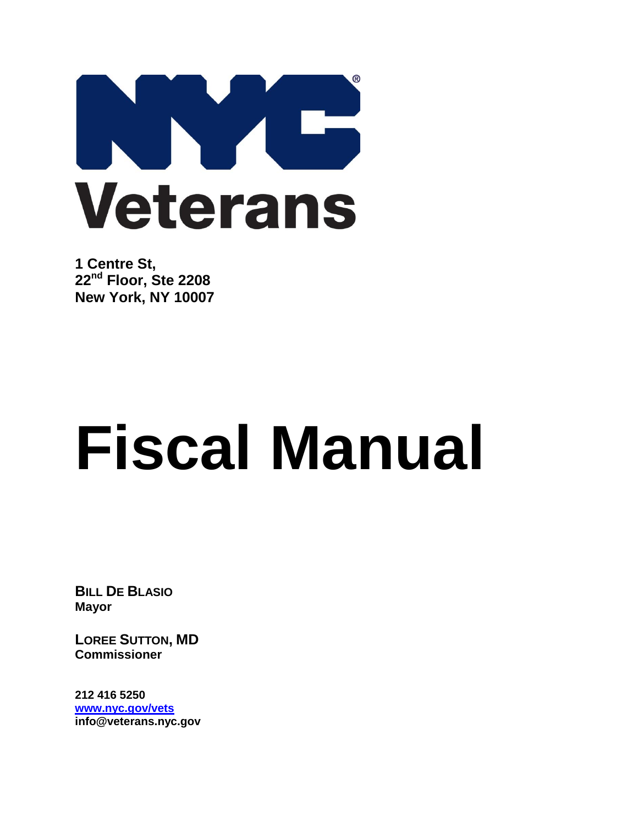

**1 Centre St, 22nd Floor, Ste 2208 New York, NY 10007**

# **Fiscal Manual**

**BILL DE BLASIO Mayor**

**LOREE SUTTON, MD Commissioner**

**212 416 5250 [www.nyc.gov/vets](http://www.nyc.gov/vets) info@veterans.nyc.gov**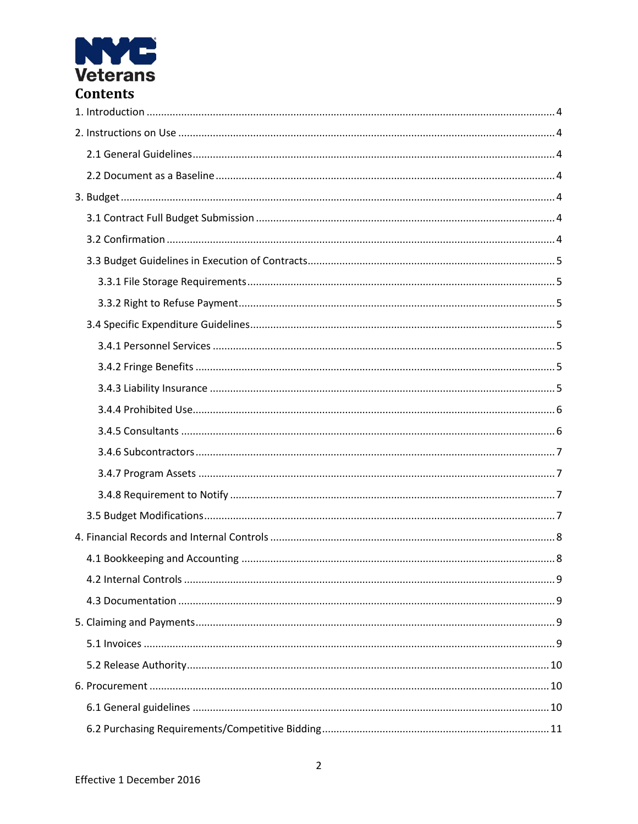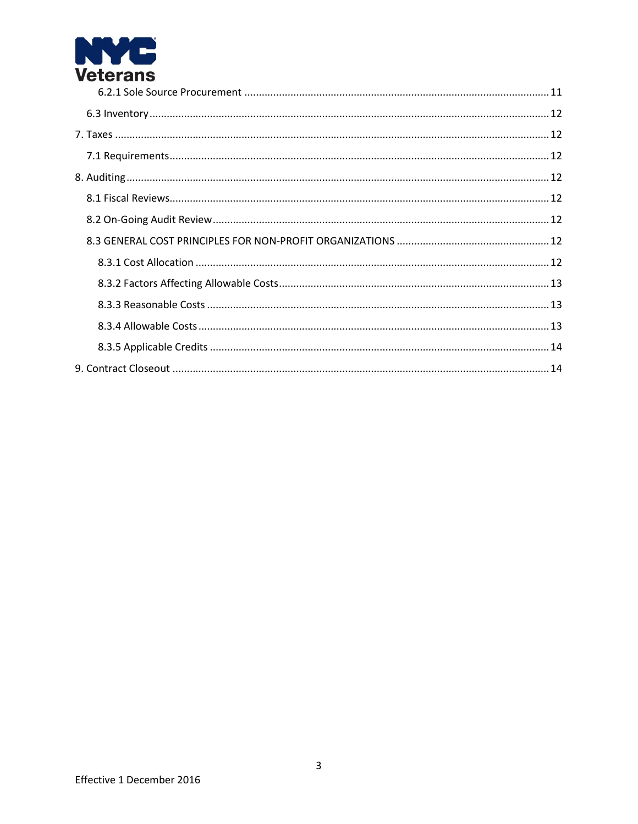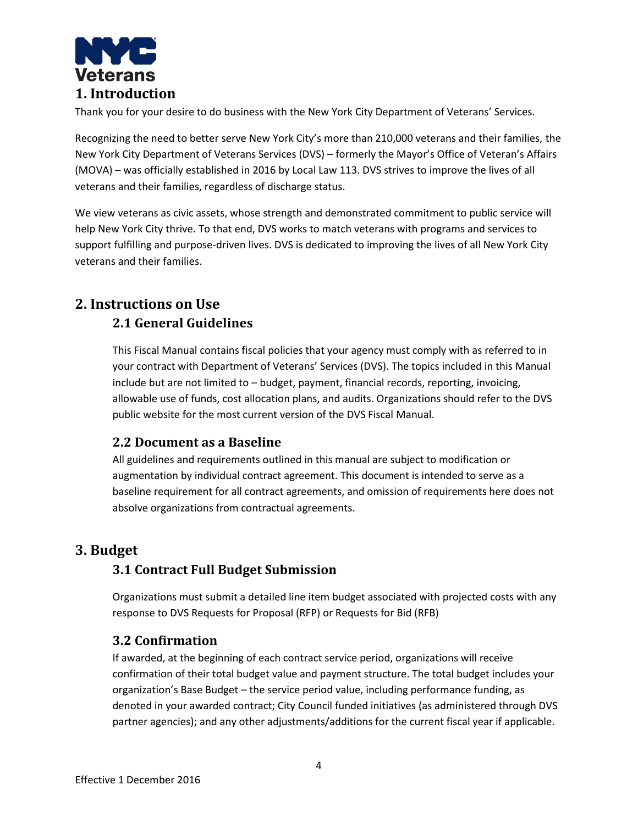

<span id="page-3-0"></span>Thank you for your desire to do business with the New York City Department of Veterans' Services.

Recognizing the need to better serve New York City's more than 210,000 veterans and their families, the New York City Department of Veterans Services (DVS) – formerly the Mayor's Office of Veteran's Affairs (MOVA) – was officially established in 2016 by Local Law 113. DVS strives to improve the lives of all veterans and their families, regardless of discharge status.

We view veterans as civic assets, whose strength and demonstrated commitment to public service will help New York City thrive. To that end, DVS works to match veterans with programs and services to support fulfilling and purpose-driven lives. DVS is dedicated to improving the lives of all New York City veterans and their families.

# <span id="page-3-2"></span><span id="page-3-1"></span>**2. Instructions on Use**

# **2.1 General Guidelines**

This Fiscal Manual contains fiscal policies that your agency must comply with as referred to in your contract with Department of Veterans' Services (DVS). The topics included in this Manual include but are not limited to – budget, payment, financial records, reporting, invoicing, allowable use of funds, cost allocation plans, and audits. Organizations should refer to the DVS public website for the most current version of the DVS Fiscal Manual.

# <span id="page-3-3"></span>**2.2 Document as a Baseline**

All guidelines and requirements outlined in this manual are subject to modification or augmentation by individual contract agreement. This document is intended to serve as a baseline requirement for all contract agreements, and omission of requirements here does not absolve organizations from contractual agreements.

# <span id="page-3-5"></span><span id="page-3-4"></span>**3. Budget**

# **3.1 Contract Full Budget Submission**

Organizations must submit a detailed line item budget associated with projected costs with any response to DVS Requests for Proposal (RFP) or Requests for Bid (RFB)

# <span id="page-3-6"></span>**3.2 Confirmation**

If awarded, at the beginning of each contract service period, organizations will receive confirmation of their total budget value and payment structure. The total budget includes your organization's Base Budget – the service period value, including performance funding, as denoted in your awarded contract; City Council funded initiatives (as administered through DVS partner agencies); and any other adjustments/additions for the current fiscal year if applicable.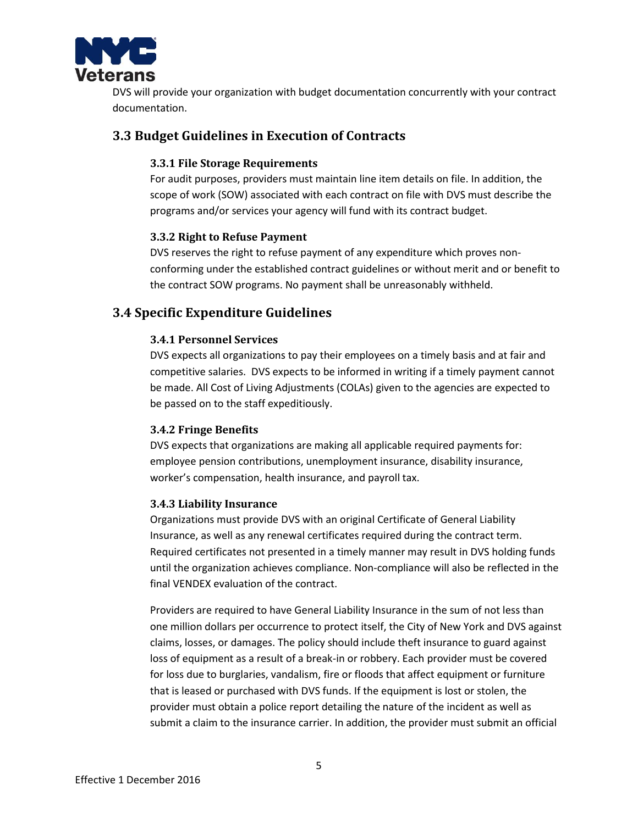

DVS will provide your organization with budget documentation concurrently with your contract documentation.

## <span id="page-4-1"></span><span id="page-4-0"></span>**3.3 Budget Guidelines in Execution of Contracts**

#### **3.3.1 File Storage Requirements**

For audit purposes, providers must maintain line item details on file. In addition, the scope of work (SOW) associated with each contract on file with DVS must describe the programs and/or services your agency will fund with its contract budget.

#### <span id="page-4-2"></span>**3.3.2 Right to Refuse Payment**

DVS reserves the right to refuse payment of any expenditure which proves nonconforming under the established contract guidelines or without merit and or benefit to the contract SOW programs. No payment shall be unreasonably withheld.

## <span id="page-4-4"></span><span id="page-4-3"></span>**3.4 Specific Expenditure Guidelines**

#### **3.4.1 Personnel Services**

DVS expects all organizations to pay their employees on a timely basis and at fair and competitive salaries. DVS expects to be informed in writing if a timely payment cannot be made. All Cost of Living Adjustments (COLAs) given to the agencies are expected to be passed on to the staff expeditiously.

#### <span id="page-4-5"></span>**3.4.2 Fringe Benefits**

DVS expects that organizations are making all applicable required payments for: employee pension contributions, unemployment insurance, disability insurance, worker's compensation, health insurance, and payroll tax.

#### <span id="page-4-6"></span>**3.4.3 Liability Insurance**

Organizations must provide DVS with an original Certificate of General Liability Insurance, as well as any renewal certificates required during the contract term. Required certificates not presented in a timely manner may result in DVS holding funds until the organization achieves compliance. Non-compliance will also be reflected in the final VENDEX evaluation of the contract.

Providers are required to have General Liability Insurance in the sum of not less than one million dollars per occurrence to protect itself, the City of New York and DVS against claims, losses, or damages. The policy should include theft insurance to guard against loss of equipment as a result of a break-in or robbery. Each provider must be covered for loss due to burglaries, vandalism, fire or floods that affect equipment or furniture that is leased or purchased with DVS funds. If the equipment is lost or stolen, the provider must obtain a police report detailing the nature of the incident as well as submit a claim to the insurance carrier. In addition, the provider must submit an official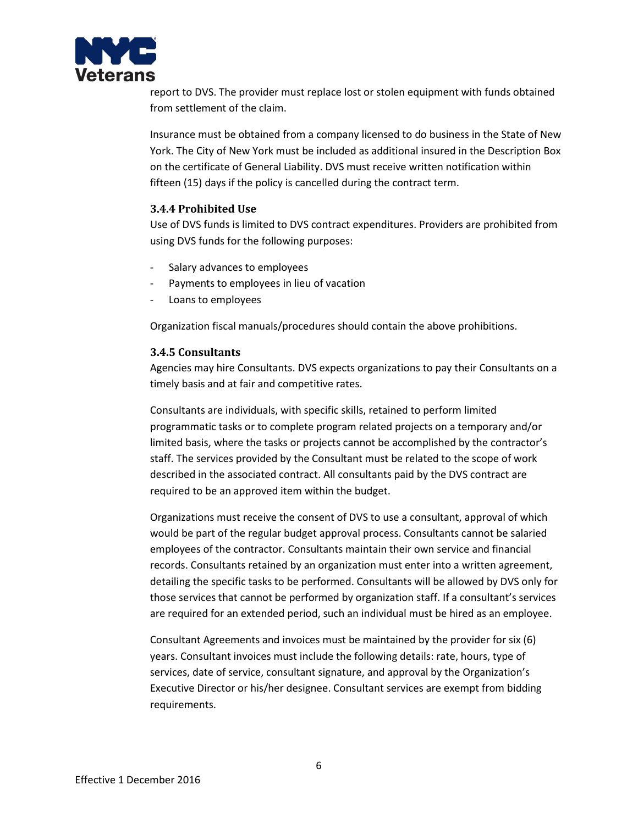

report to DVS. The provider must replace lost or stolen equipment with funds obtained from settlement of the claim.

Insurance must be obtained from a company licensed to do business in the State of New York. The City of New York must be included as additional insured in the Description Box on the certificate of General Liability. DVS must receive written notification within fifteen (15) days if the policy is cancelled during the contract term.

#### <span id="page-5-0"></span>**3.4.4 Prohibited Use**

Use of DVS funds is limited to DVS contract expenditures. Providers are prohibited from using DVS funds for the following purposes:

- Salary advances to employees
- Payments to employees in lieu of vacation
- Loans to employees

Organization fiscal manuals/procedures should contain the above prohibitions.

#### <span id="page-5-1"></span>**3.4.5 Consultants**

Agencies may hire Consultants. DVS expects organizations to pay their Consultants on a timely basis and at fair and competitive rates.

Consultants are individuals, with specific skills, retained to perform limited programmatic tasks or to complete program related projects on a temporary and/or limited basis, where the tasks or projects cannot be accomplished by the contractor's staff. The services provided by the Consultant must be related to the scope of work described in the associated contract. All consultants paid by the DVS contract are required to be an approved item within the budget.

Organizations must receive the consent of DVS to use a consultant, approval of which would be part of the regular budget approval process. Consultants cannot be salaried employees of the contractor. Consultants maintain their own service and financial records. Consultants retained by an organization must enter into a written agreement, detailing the specific tasks to be performed. Consultants will be allowed by DVS only for those services that cannot be performed by organization staff. If a consultant's services are required for an extended period, such an individual must be hired as an employee.

Consultant Agreements and invoices must be maintained by the provider for six (6) years. Consultant invoices must include the following details: rate, hours, type of services, date of service, consultant signature, and approval by the Organization's Executive Director or his/her designee. Consultant services are exempt from bidding requirements.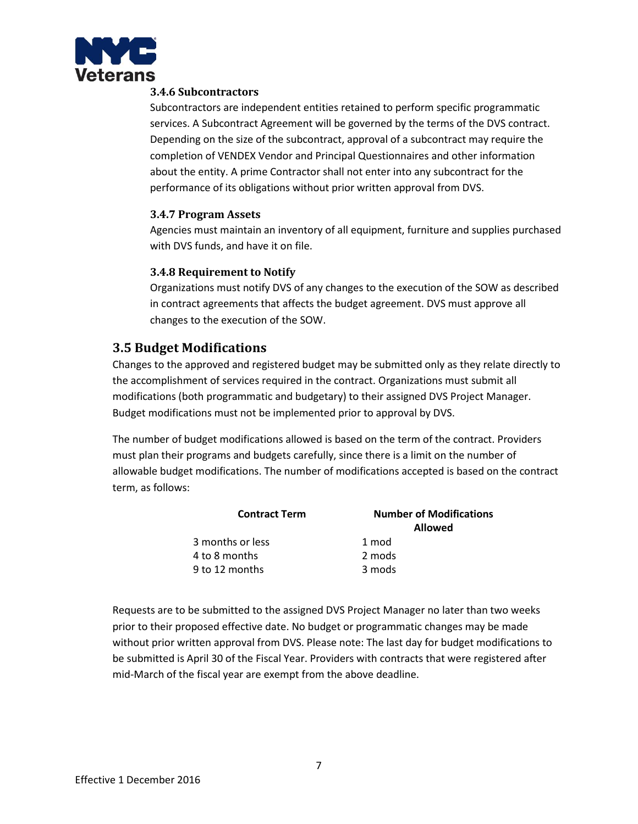<span id="page-6-0"></span>

#### **3.4.6 Subcontractors**

Subcontractors are independent entities retained to perform specific programmatic services. A Subcontract Agreement will be governed by the terms of the DVS contract. Depending on the size of the subcontract, approval of a subcontract may require the completion of VENDEX Vendor and Principal Questionnaires and other information about the entity. A prime Contractor shall not enter into any subcontract for the performance of its obligations without prior written approval from DVS.

#### <span id="page-6-1"></span>**3.4.7 Program Assets**

Agencies must maintain an inventory of all equipment, furniture and supplies purchased with DVS funds, and have it on file.

#### <span id="page-6-2"></span>**3.4.8 Requirement to Notify**

Organizations must notify DVS of any changes to the execution of the SOW as described in contract agreements that affects the budget agreement. DVS must approve all changes to the execution of the SOW.

# <span id="page-6-3"></span>**3.5 Budget Modifications**

Changes to the approved and registered budget may be submitted only as they relate directly to the accomplishment of services required in the contract. Organizations must submit all modifications (both programmatic and budgetary) to their assigned DVS Project Manager. Budget modifications must not be implemented prior to approval by DVS.

The number of budget modifications allowed is based on the term of the contract. Providers must plan their programs and budgets carefully, since there is a limit on the number of allowable budget modifications. The number of modifications accepted is based on the contract term, as follows:

| <b>Number of Modifications</b><br><b>Allowed</b> |
|--------------------------------------------------|
| 1 mod                                            |
| 2 mods                                           |
| 3 mods                                           |
|                                                  |

Requests are to be submitted to the assigned DVS Project Manager no later than two weeks prior to their proposed effective date. No budget or programmatic changes may be made without prior written approval from DVS. Please note: The last day for budget modifications to be submitted is April 30 of the Fiscal Year. Providers with contracts that were registered after mid-March of the fiscal year are exempt from the above deadline.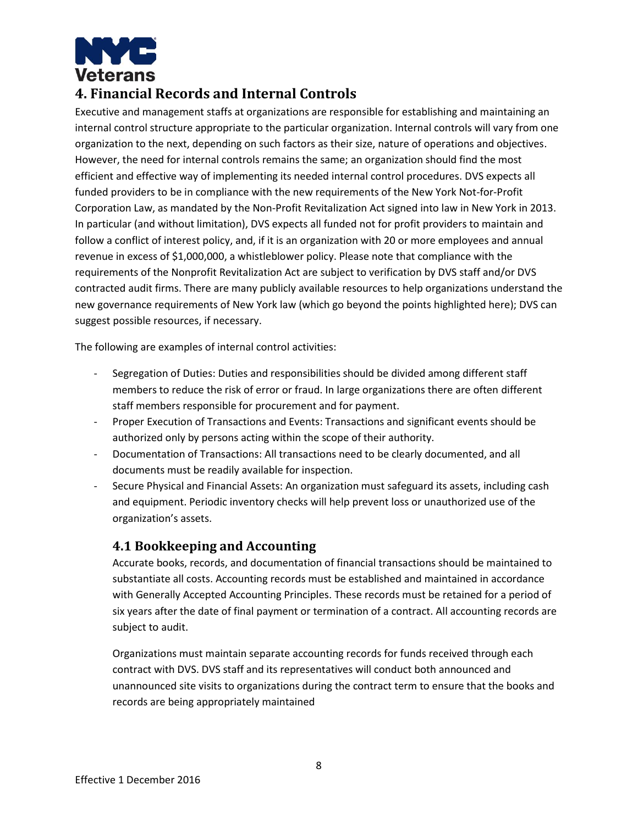

# <span id="page-7-0"></span>**4. Financial Records and Internal Controls**

Executive and management staffs at organizations are responsible for establishing and maintaining an internal control structure appropriate to the particular organization. Internal controls will vary from one organization to the next, depending on such factors as their size, nature of operations and objectives. However, the need for internal controls remains the same; an organization should find the most efficient and effective way of implementing its needed internal control procedures. DVS expects all funded providers to be in compliance with the new requirements of the New York Not-for-Profit Corporation Law, as mandated by the Non-Profit Revitalization Act signed into law in New York in 2013. In particular (and without limitation), DVS expects all funded not for profit providers to maintain and follow a conflict of interest policy, and, if it is an organization with 20 or more employees and annual revenue in excess of \$1,000,000, a whistleblower policy. Please note that compliance with the requirements of the Nonprofit Revitalization Act are subject to verification by DVS staff and/or DVS contracted audit firms. There are many publicly available resources to help organizations understand the new governance requirements of New York law (which go beyond the points highlighted here); DVS can suggest possible resources, if necessary.

The following are examples of internal control activities:

- Segregation of Duties: Duties and responsibilities should be divided among different staff members to reduce the risk of error or fraud. In large organizations there are often different staff members responsible for procurement and for payment.
- Proper Execution of Transactions and Events: Transactions and significant events should be authorized only by persons acting within the scope of their authority.
- Documentation of Transactions: All transactions need to be clearly documented, and all documents must be readily available for inspection.
- Secure Physical and Financial Assets: An organization must safeguard its assets, including cash and equipment. Periodic inventory checks will help prevent loss or unauthorized use of the organization's assets.

# <span id="page-7-1"></span>**4.1 Bookkeeping and Accounting**

Accurate books, records, and documentation of financial transactions should be maintained to substantiate all costs. Accounting records must be established and maintained in accordance with Generally Accepted Accounting Principles. These records must be retained for a period of six years after the date of final payment or termination of a contract. All accounting records are subject to audit.

Organizations must maintain separate accounting records for funds received through each contract with DVS. DVS staff and its representatives will conduct both announced and unannounced site visits to organizations during the contract term to ensure that the books and records are being appropriately maintained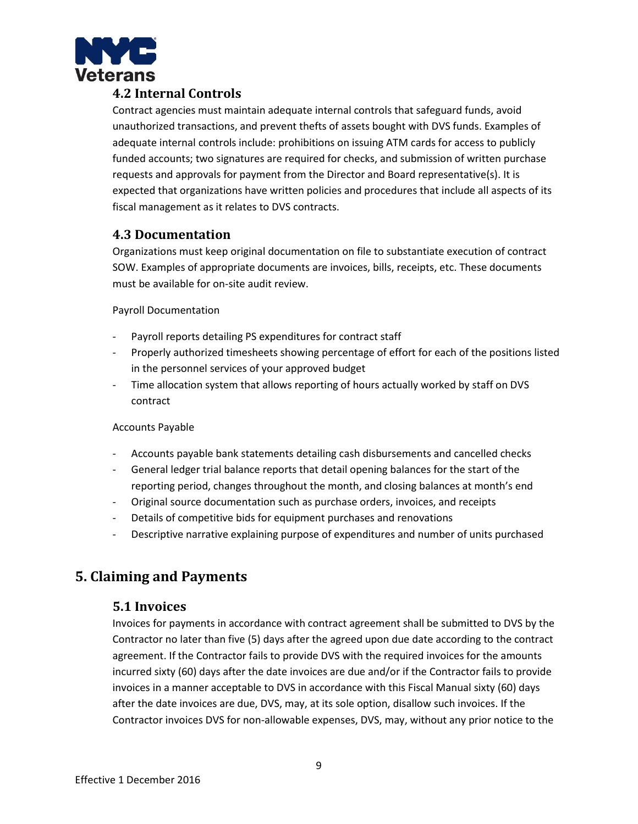

# <span id="page-8-0"></span>**4.2 Internal Controls**

Contract agencies must maintain adequate internal controls that safeguard funds, avoid unauthorized transactions, and prevent thefts of assets bought with DVS funds. Examples of adequate internal controls include: prohibitions on issuing ATM cards for access to publicly funded accounts; two signatures are required for checks, and submission of written purchase requests and approvals for payment from the Director and Board representative(s). It is expected that organizations have written policies and procedures that include all aspects of its fiscal management as it relates to DVS contracts.

## <span id="page-8-1"></span>**4.3 Documentation**

Organizations must keep original documentation on file to substantiate execution of contract SOW. Examples of appropriate documents are invoices, bills, receipts, etc. These documents must be available for on-site audit review.

Payroll Documentation

- Payroll reports detailing PS expenditures for contract staff
- Properly authorized timesheets showing percentage of effort for each of the positions listed in the personnel services of your approved budget
- Time allocation system that allows reporting of hours actually worked by staff on DVS contract

#### Accounts Payable

- Accounts payable bank statements detailing cash disbursements and cancelled checks
- General ledger trial balance reports that detail opening balances for the start of the reporting period, changes throughout the month, and closing balances at month's end
- Original source documentation such as purchase orders, invoices, and receipts
- Details of competitive bids for equipment purchases and renovations
- Descriptive narrative explaining purpose of expenditures and number of units purchased

# <span id="page-8-3"></span><span id="page-8-2"></span>**5. Claiming and Payments**

#### **5.1 Invoices**

Invoices for payments in accordance with contract agreement shall be submitted to DVS by the Contractor no later than five (5) days after the agreed upon due date according to the contract agreement. If the Contractor fails to provide DVS with the required invoices for the amounts incurred sixty (60) days after the date invoices are due and/or if the Contractor fails to provide invoices in a manner acceptable to DVS in accordance with this Fiscal Manual sixty (60) days after the date invoices are due, DVS, may, at its sole option, disallow such invoices. If the Contractor invoices DVS for non-allowable expenses, DVS, may, without any prior notice to the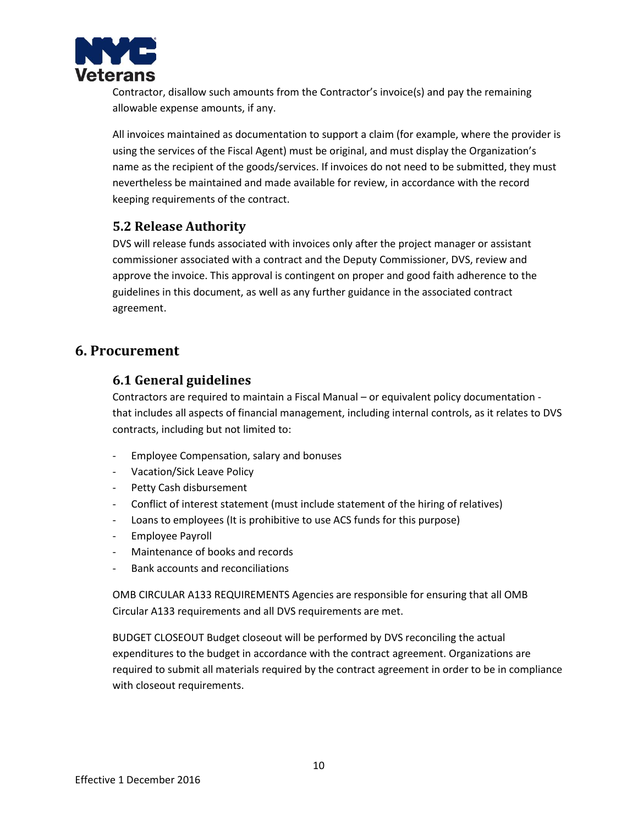

Contractor, disallow such amounts from the Contractor's invoice(s) and pay the remaining allowable expense amounts, if any.

All invoices maintained as documentation to support a claim (for example, where the provider is using the services of the Fiscal Agent) must be original, and must display the Organization's name as the recipient of the goods/services. If invoices do not need to be submitted, they must nevertheless be maintained and made available for review, in accordance with the record keeping requirements of the contract.

## <span id="page-9-0"></span>**5.2 Release Authority**

DVS will release funds associated with invoices only after the project manager or assistant commissioner associated with a contract and the Deputy Commissioner, DVS, review and approve the invoice. This approval is contingent on proper and good faith adherence to the guidelines in this document, as well as any further guidance in the associated contract agreement.

# <span id="page-9-2"></span><span id="page-9-1"></span>**6. Procurement**

## **6.1 General guidelines**

Contractors are required to maintain a Fiscal Manual – or equivalent policy documentation that includes all aspects of financial management, including internal controls, as it relates to DVS contracts, including but not limited to:

- Employee Compensation, salary and bonuses
- Vacation/Sick Leave Policy
- Petty Cash disbursement
- Conflict of interest statement (must include statement of the hiring of relatives)
- Loans to employees (It is prohibitive to use ACS funds for this purpose)
- Employee Payroll
- Maintenance of books and records
- Bank accounts and reconciliations

OMB CIRCULAR A133 REQUIREMENTS Agencies are responsible for ensuring that all OMB Circular A133 requirements and all DVS requirements are met.

BUDGET CLOSEOUT Budget closeout will be performed by DVS reconciling the actual expenditures to the budget in accordance with the contract agreement. Organizations are required to submit all materials required by the contract agreement in order to be in compliance with closeout requirements.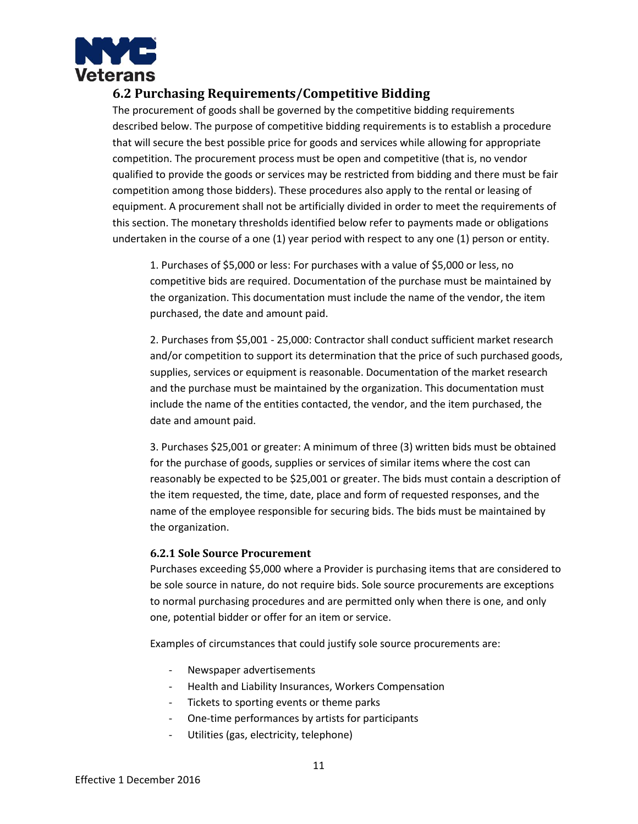

# <span id="page-10-0"></span>**6.2 Purchasing Requirements/Competitive Bidding**

The procurement of goods shall be governed by the competitive bidding requirements described below. The purpose of competitive bidding requirements is to establish a procedure that will secure the best possible price for goods and services while allowing for appropriate competition. The procurement process must be open and competitive (that is, no vendor qualified to provide the goods or services may be restricted from bidding and there must be fair competition among those bidders). These procedures also apply to the rental or leasing of equipment. A procurement shall not be artificially divided in order to meet the requirements of this section. The monetary thresholds identified below refer to payments made or obligations undertaken in the course of a one (1) year period with respect to any one (1) person or entity.

1. Purchases of \$5,000 or less: For purchases with a value of \$5,000 or less, no competitive bids are required. Documentation of the purchase must be maintained by the organization. This documentation must include the name of the vendor, the item purchased, the date and amount paid.

2. Purchases from \$5,001 - 25,000: Contractor shall conduct sufficient market research and/or competition to support its determination that the price of such purchased goods, supplies, services or equipment is reasonable. Documentation of the market research and the purchase must be maintained by the organization. This documentation must include the name of the entities contacted, the vendor, and the item purchased, the date and amount paid.

3. Purchases \$25,001 or greater: A minimum of three (3) written bids must be obtained for the purchase of goods, supplies or services of similar items where the cost can reasonably be expected to be \$25,001 or greater. The bids must contain a description of the item requested, the time, date, place and form of requested responses, and the name of the employee responsible for securing bids. The bids must be maintained by the organization.

#### <span id="page-10-1"></span>**6.2.1 Sole Source Procurement**

Purchases exceeding \$5,000 where a Provider is purchasing items that are considered to be sole source in nature, do not require bids. Sole source procurements are exceptions to normal purchasing procedures and are permitted only when there is one, and only one, potential bidder or offer for an item or service.

Examples of circumstances that could justify sole source procurements are:

- Newspaper advertisements
- Health and Liability Insurances, Workers Compensation
- Tickets to sporting events or theme parks
- One-time performances by artists for participants
- Utilities (gas, electricity, telephone)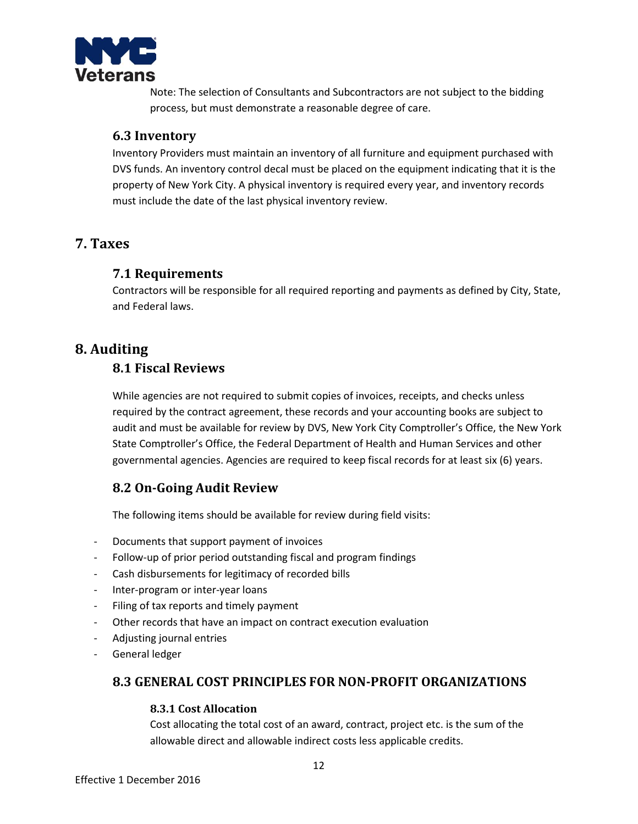

Note: The selection of Consultants and Subcontractors are not subject to the bidding process, but must demonstrate a reasonable degree of care.

## <span id="page-11-0"></span>**6.3 Inventory**

Inventory Providers must maintain an inventory of all furniture and equipment purchased with DVS funds. An inventory control decal must be placed on the equipment indicating that it is the property of New York City. A physical inventory is required every year, and inventory records must include the date of the last physical inventory review.

# <span id="page-11-2"></span><span id="page-11-1"></span>**7. Taxes**

## **7.1 Requirements**

Contractors will be responsible for all required reporting and payments as defined by City, State, and Federal laws.

# <span id="page-11-4"></span><span id="page-11-3"></span>**8. Auditing**

# **8.1 Fiscal Reviews**

While agencies are not required to submit copies of invoices, receipts, and checks unless required by the contract agreement, these records and your accounting books are subject to audit and must be available for review by DVS, New York City Comptroller's Office, the New York State Comptroller's Office, the Federal Department of Health and Human Services and other governmental agencies. Agencies are required to keep fiscal records for at least six (6) years.

# <span id="page-11-5"></span>**8.2 On-Going Audit Review**

The following items should be available for review during field visits:

- Documents that support payment of invoices
- Follow-up of prior period outstanding fiscal and program findings
- Cash disbursements for legitimacy of recorded bills
- Inter-program or inter-year loans
- Filing of tax reports and timely payment
- Other records that have an impact on contract execution evaluation
- Adjusting journal entries
- <span id="page-11-6"></span>- General ledger

# <span id="page-11-7"></span>**8.3 GENERAL COST PRINCIPLES FOR NON-PROFIT ORGANIZATIONS**

#### **8.3.1 Cost Allocation**

Cost allocating the total cost of an award, contract, project etc. is the sum of the allowable direct and allowable indirect costs less applicable credits.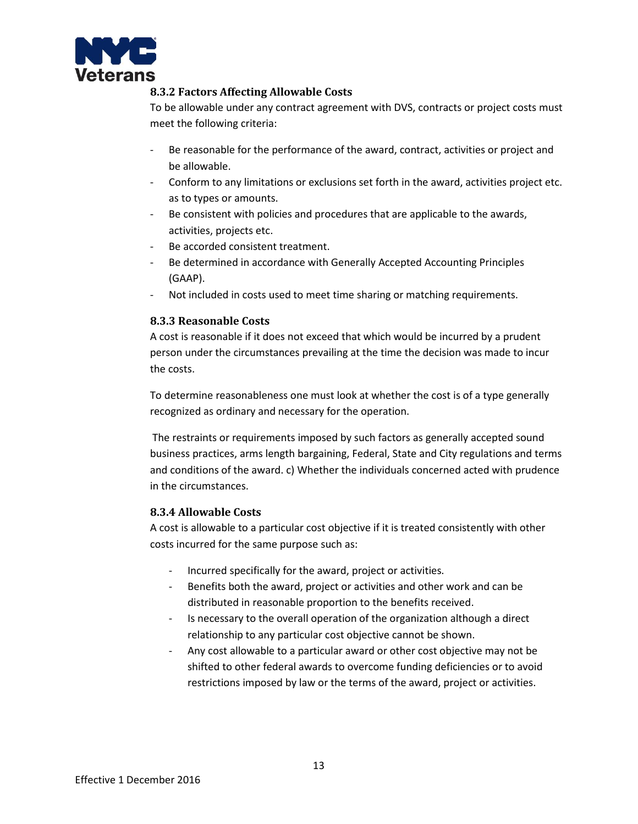<span id="page-12-0"></span>

#### **8.3.2 Factors Affecting Allowable Costs**

To be allowable under any contract agreement with DVS, contracts or project costs must meet the following criteria:

- Be reasonable for the performance of the award, contract, activities or project and be allowable.
- Conform to any limitations or exclusions set forth in the award, activities project etc. as to types or amounts.
- Be consistent with policies and procedures that are applicable to the awards, activities, projects etc.
- Be accorded consistent treatment.
- Be determined in accordance with Generally Accepted Accounting Principles (GAAP).
- Not included in costs used to meet time sharing or matching requirements.

#### <span id="page-12-1"></span>**8.3.3 Reasonable Costs**

A cost is reasonable if it does not exceed that which would be incurred by a prudent person under the circumstances prevailing at the time the decision was made to incur the costs.

To determine reasonableness one must look at whether the cost is of a type generally recognized as ordinary and necessary for the operation.

The restraints or requirements imposed by such factors as generally accepted sound business practices, arms length bargaining, Federal, State and City regulations and terms and conditions of the award. c) Whether the individuals concerned acted with prudence in the circumstances.

#### <span id="page-12-2"></span>**8.3.4 Allowable Costs**

A cost is allowable to a particular cost objective if it is treated consistently with other costs incurred for the same purpose such as:

- Incurred specifically for the award, project or activities.
- Benefits both the award, project or activities and other work and can be distributed in reasonable proportion to the benefits received.
- Is necessary to the overall operation of the organization although a direct relationship to any particular cost objective cannot be shown.
- Any cost allowable to a particular award or other cost objective may not be shifted to other federal awards to overcome funding deficiencies or to avoid restrictions imposed by law or the terms of the award, project or activities.